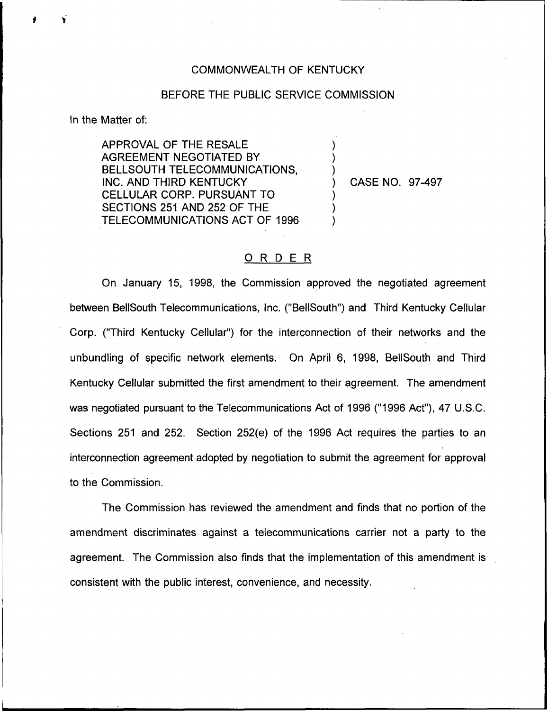## COMMONWEALTH OF KENTUCKY

## BEFORE THE PUBLIC SERVICE COMMISSION

) ) )

) ) )

In the Matter of:

APPROVAL OF THE RESALE AGREEMENT NEGOTIATED BY BELLSOUTH TELECOMMUNICATIONS, INC. AND THIRD KENTUCKY CELLULAR CORP. PURSUANT TO SECTIONS 251 AND 252 OF THE TELECOMMUNICATIONS ACT OF 1996

) CASE NO. 97-497

## ORDER

On January 15, 1998, the Commission approved the negotiated agreement between BellSouth Telecommunications, Inc, ("BellSouth") and Third Kentucky Cellular Corp. ("Third Kentucky Cellular") for the interconnection of their networks and the unbundling of specific network elements. On April 6, 1998, BellSouth and Third Kentucky Cellular submitted the first amendment to their agreement. The amendment was negotiated pursuant to the Telecommunications Act of 1996 ("1996 Act"), 47 U.S.C. Sections 251 and 252. Section 252(e) of the 1996 Act requires the parties to an interconnection agreement adopted by negotiation to submit the agreement for approval to the Commission.

The Commission has reviewed the amendment and finds that no portion of the amendment discriminates against a telecommunications carrier not a party to the agreement. The Commission also finds that the implementation of this amendment is consistent with the public interest, convenience, and necessity.